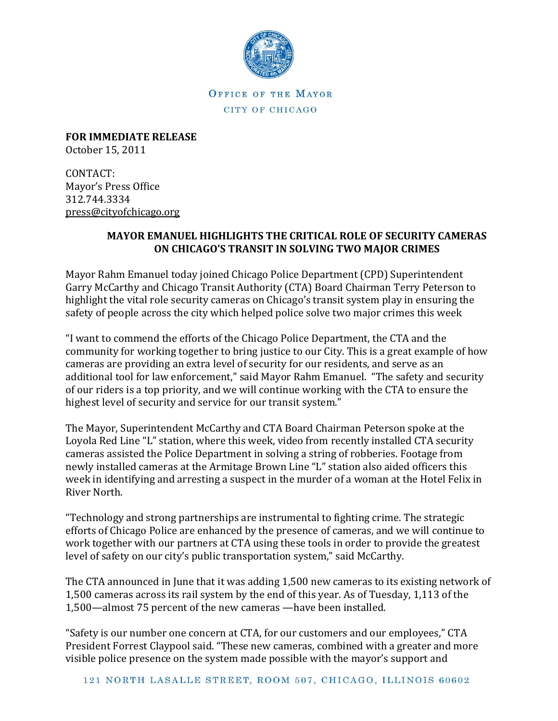

OFFICE OF THE MAYOR CITY OF CHICAGO

**FOR IMMEDIATE RELEASE** October 15, 2011

CONTACT: Mayor's Press Office 312.744.3334 [press@cityofchicago.org](https://connect.cityofchicago.org/owa/,DanaInfo=basicauth.cityofchicago.local,SSL+redir.aspx?C=71e5aa0035694344a346ec38a6d79378&URL=mailto%3apress%40cityofchicago.org)

## **MAYOR EMANUEL HIGHLIGHTS THE CRITICAL ROLE OF SECURITY CAMERAS ON CHICAGO'S TRANSIT IN SOLVING TWO MAJOR CRIMES**

Mayor Rahm Emanuel today joined Chicago Police Department (CPD) Superintendent Garry McCarthy and Chicago Transit Authority (CTA) Board Chairman Terry Peterson to highlight the vital role security cameras on Chicago's transit system play in ensuring the safety of people across the city which helped police solve two major crimes this week

"I want to commend the efforts of the Chicago Police Department, the CTA and the community for working together to bring justice to our City. This is a great example of how cameras are providing an extra level of security for our residents, and serve as an additional tool for law enforcement," said Mayor Rahm Emanuel. "The safety and security of our riders is a top priority, and we will continue working with the CTA to ensure the highest level of security and service for our transit system."

The Mayor, Superintendent McCarthy and CTA Board Chairman Peterson spoke at the Loyola Red Line "L" station, where this week, video from recently installed CTA security cameras assisted the Police Department in solving a string of robberies. Footage from newly installed cameras at the Armitage Brown Line "L" station also aided officers this week in identifying and arresting a suspect in the murder of a woman at the Hotel Felix in River North.

"Technology and strong partnerships are instrumental to fighting crime. The strategic efforts of Chicago Police are enhanced by the presence of cameras, and we will continue to work together with our partners at CTA using these tools in order to provide the greatest level of safety on our city's public transportation system," said McCarthy.

The CTA announced in June that it was adding 1,500 new cameras to its existing network of 1,500 cameras across its rail system by the end of this year. As of Tuesday, 1,113 of the 1,500—almost 75 percent of the new cameras —have been installed.

"Safety is our number one concern at CTA, for our customers and our employees," CTA President Forrest Claypool said. "These new cameras, combined with a greater and more visible police presence on the system made possible with the mayor's support and